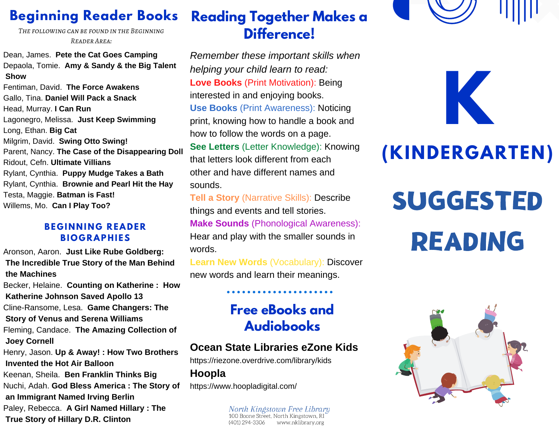## **Beginning Reader Books**

*The following can be found in the Beginning Reader Area:*

Dean, James. **Pete the Cat Goes Camping** Depaola, Tomie. **Amy & Sandy & the Big Talent Show**

Fentiman, David. **The Force Awakens** Gallo, Tina. **Daniel Will Pack a Snack** Head, Murray. **I Can Run** Lagonegro, Melissa. **Just Keep Swimming** Long, Ethan. **Big Cat** Milgrim, David. **Swing Otto Swing!** Parent, Nancy. **The Case of the Disappearing Doll** Ridout, Cefn. **Ultimate Villians** Rylant, Cynthia. **Puppy Mudge Takes a Bath** Rylant, Cynthia. **Brownie and Pearl Hit the Hay** Testa, Maggie. **Batman is Fast!** Willems, Mo. **Can I Play Too?**

#### **BE G I N N I N G R EAD E R BI O G RAPHI ES**

Aronson, Aaron. **Just Like Rube Goldberg: The Incredible True Story of the Man Behind the Machines**

Becker, Helaine. **Counting on Katherine : How Katherine Johnson Saved Apollo 13** Cline-Ransome, Lesa. **Game Changers: The Story of Venus and Serena Williams** Fleming, Candace. **The Amazing Collection of Joey Cornell** Henry, Jason. **Up & Away! : How Two Brothers Invented the Hot Air Balloon** Keenan, Sheila. **Ben Franklin Thinks Big**

Nuchi, Adah. **God Bless America : The Story of an Immigrant Named Irving Berlin** Paley, Rebecca. **A Girl Named Hillary : The True Story of Hillary D.R. Clinton**

#### **Reading Together Makes a Difference!**

*Remember these important skills when helping your child learn to read:* **Love Books** (Print Motivation): Being interested in and enjoying books. **Use Books** (Print Awareness): Noticing print, knowing how to handle a book and how to follow the words on a page. **See Letters** (Letter Knowledge): Knowing that letters look different from each other and have different names and sounds.

**Tell a Story** (Narrative Skills): Describe things and events and tell stories. **Make Sounds** (Phonological Awareness): Hear and play with the smaller sounds in words.

**Learn New Words** (Vocabulary): Discover new words and learn their meanings.

### **Free eBooks and Audiobooks**

#### **Ocean State Libraries eZone Kids**

https://riezone.overdrive.com/library/kids

**Hoopla**

https://www.hoopladigital.com/

North Kingstown Free Library<br>100 Boone Street, North Kingstown, RI (401) 294-3306 www.nklibrary.org

**K**

# **(KINDERGARTEN)**

# SUGGESTED READING